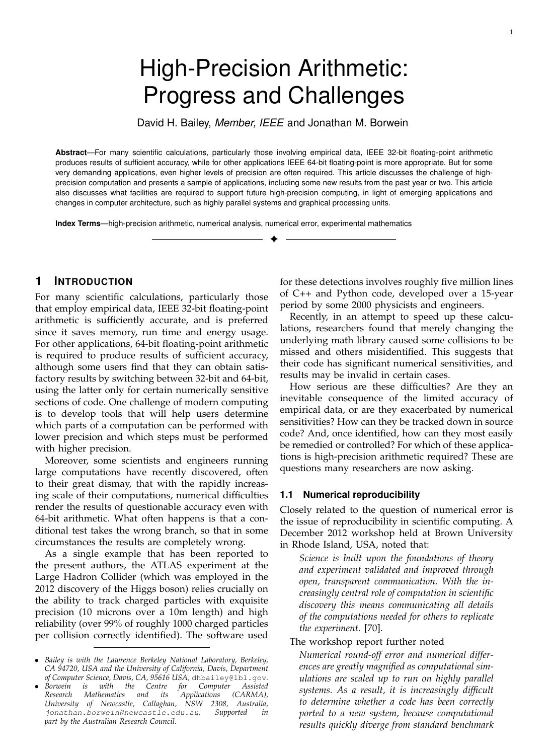# High-Precision Arithmetic: Progress and Challenges

David H. Bailey, *Member, IEEE* and Jonathan M. Borwein

**Abstract**—For many scientific calculations, particularly those involving empirical data, IEEE 32-bit floating-point arithmetic produces results of sufficient accuracy, while for other applications IEEE 64-bit floating-point is more appropriate. But for some very demanding applications, even higher levels of precision are often required. This article discusses the challenge of highprecision computation and presents a sample of applications, including some new results from the past year or two. This article also discusses what facilities are required to support future high-precision computing, in light of emerging applications and changes in computer architecture, such as highly parallel systems and graphical processing units.

✦

**Index Terms**—high-precision arithmetic, numerical analysis, numerical error, experimental mathematics

## **1 INTRODUCTION**

For many scientific calculations, particularly those that employ empirical data, IEEE 32-bit floating-point arithmetic is sufficiently accurate, and is preferred since it saves memory, run time and energy usage. For other applications, 64-bit floating-point arithmetic is required to produce results of sufficient accuracy, although some users find that they can obtain satisfactory results by switching between 32-bit and 64-bit, using the latter only for certain numerically sensitive sections of code. One challenge of modern computing is to develop tools that will help users determine which parts of a computation can be performed with lower precision and which steps must be performed with higher precision.

Moreover, some scientists and engineers running large computations have recently discovered, often to their great dismay, that with the rapidly increasing scale of their computations, numerical difficulties render the results of questionable accuracy even with 64-bit arithmetic. What often happens is that a conditional test takes the wrong branch, so that in some circumstances the results are completely wrong.

As a single example that has been reported to the present authors, the ATLAS experiment at the Large Hadron Collider (which was employed in the 2012 discovery of the Higgs boson) relies crucially on the ability to track charged particles with exquisite precision (10 microns over a 10m length) and high reliability (over 99% of roughly 1000 charged particles per collision correctly identified). The software used

for these detections involves roughly five million lines of C++ and Python code, developed over a 15-year period by some 2000 physicists and engineers.

Recently, in an attempt to speed up these calculations, researchers found that merely changing the underlying math library caused some collisions to be missed and others misidentified. This suggests that their code has significant numerical sensitivities, and results may be invalid in certain cases.

How serious are these difficulties? Are they an inevitable consequence of the limited accuracy of empirical data, or are they exacerbated by numerical sensitivities? How can they be tracked down in source code? And, once identified, how can they most easily be remedied or controlled? For which of these applications is high-precision arithmetic required? These are questions many researchers are now asking.

## **1.1 Numerical reproducibility**

Closely related to the question of numerical error is the issue of reproducibility in scientific computing. A December 2012 workshop held at Brown University in Rhode Island, USA, noted that:

*Science is built upon the foundations of theory and experiment validated and improved through open, transparent communication. With the increasingly central role of computation in scientific discovery this means communicating all details of the computations needed for others to replicate the experiment.* [70].

#### The workshop report further noted

*Numerical round-off error and numerical differences are greatly magnified as computational simulations are scaled up to run on highly parallel systems. As a result, it is increasingly difficult to determine whether a code has been correctly ported to a new system, because computational results quickly diverge from standard benchmark*

<sup>•</sup> *Bailey is with the Lawrence Berkeley National Laboratory, Berkeley, CA 94720, USA and the University of California, Davis, Department of Computer Science, Davis, CA, 95616 USA,* dhbailey@lbl.gov*.*

<sup>•</sup> *Borwein is with the Centre for Computer Assisted Research Mathematics and its Applications (CARMA), University of Newcastle, Callaghan, NSW 2308, Australia,* jonathan.borwein@newcastle.edu.au*. Supported in part by the Australian Research Council.*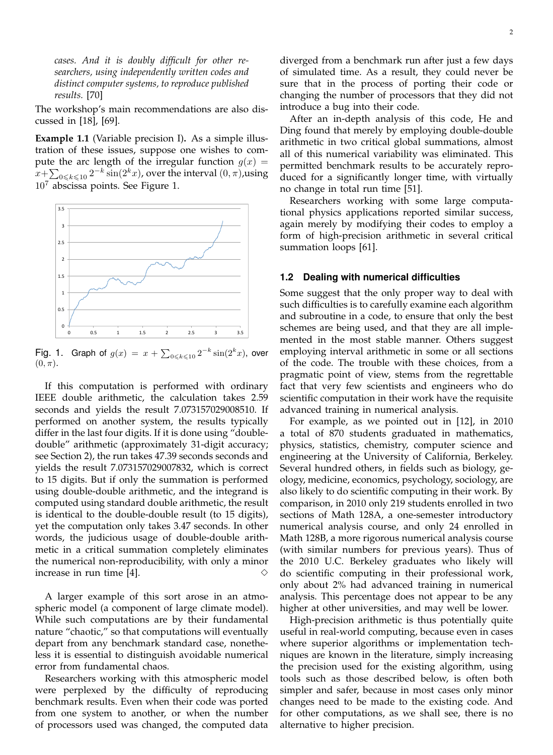*cases. And it is doubly difficult for other researchers, using independently written codes and distinct computer systems, to reproduce published results.* [70]

The workshop's main recommendations are also discussed in [18], [69].

**Example 1.1** (Variable precision I)**.** As a simple illustration of these issues, suppose one wishes to compute the arc length of the irregular function  $g(x) =$  $x{+}\sum_{0\leqslant k\leqslant 10} 2^{-k}\sin(2^kx)$ , over the interval  $(0,\pi)$ ,using  $10<sup>7</sup>$  abscissa points. See Figure 1.



Fig. 1. Graph of  $g(x) = x + \sum_{0 \le k \le 10} 2^{-k} \sin(2^k x)$ , over  $(0, \pi)$ .

If this computation is performed with ordinary IEEE double arithmetic, the calculation takes 2.59 seconds and yields the result 7.073157029008510. If performed on another system, the results typically differ in the last four digits. If it is done using "doubledouble" arithmetic (approximately 31-digit accuracy; see Section 2), the run takes 47.39 seconds seconds and yields the result 7.073157029007832, which is correct to 15 digits. But if only the summation is performed using double-double arithmetic, and the integrand is computed using standard double arithmetic, the result is identical to the double-double result (to 15 digits), yet the computation only takes 3.47 seconds. In other words, the judicious usage of double-double arithmetic in a critical summation completely eliminates the numerical non-reproducibility, with only a minor increase in run time  $[4]$ .

A larger example of this sort arose in an atmospheric model (a component of large climate model). While such computations are by their fundamental nature "chaotic," so that computations will eventually depart from any benchmark standard case, nonetheless it is essential to distinguish avoidable numerical error from fundamental chaos.

Researchers working with this atmospheric model were perplexed by the difficulty of reproducing benchmark results. Even when their code was ported from one system to another, or when the number of processors used was changed, the computed data diverged from a benchmark run after just a few days of simulated time. As a result, they could never be sure that in the process of porting their code or changing the number of processors that they did not introduce a bug into their code.

After an in-depth analysis of this code, He and Ding found that merely by employing double-double arithmetic in two critical global summations, almost all of this numerical variability was eliminated. This permitted benchmark results to be accurately reproduced for a significantly longer time, with virtually no change in total run time [51].

Researchers working with some large computational physics applications reported similar success, again merely by modifying their codes to employ a form of high-precision arithmetic in several critical summation loops [61].

#### **1.2 Dealing with numerical difficulties**

Some suggest that the only proper way to deal with such difficulties is to carefully examine each algorithm and subroutine in a code, to ensure that only the best schemes are being used, and that they are all implemented in the most stable manner. Others suggest employing interval arithmetic in some or all sections of the code. The trouble with these choices, from a pragmatic point of view, stems from the regrettable fact that very few scientists and engineers who do scientific computation in their work have the requisite advanced training in numerical analysis.

For example, as we pointed out in [12], in 2010 a total of 870 students graduated in mathematics, physics, statistics, chemistry, computer science and engineering at the University of California, Berkeley. Several hundred others, in fields such as biology, geology, medicine, economics, psychology, sociology, are also likely to do scientific computing in their work. By comparison, in 2010 only 219 students enrolled in two sections of Math 128A, a one-semester introductory numerical analysis course, and only 24 enrolled in Math 128B, a more rigorous numerical analysis course (with similar numbers for previous years). Thus of the 2010 U.C. Berkeley graduates who likely will do scientific computing in their professional work, only about 2% had advanced training in numerical analysis. This percentage does not appear to be any higher at other universities, and may well be lower.

High-precision arithmetic is thus potentially quite useful in real-world computing, because even in cases where superior algorithms or implementation techniques are known in the literature, simply increasing the precision used for the existing algorithm, using tools such as those described below, is often both simpler and safer, because in most cases only minor changes need to be made to the existing code. And for other computations, as we shall see, there is no alternative to higher precision.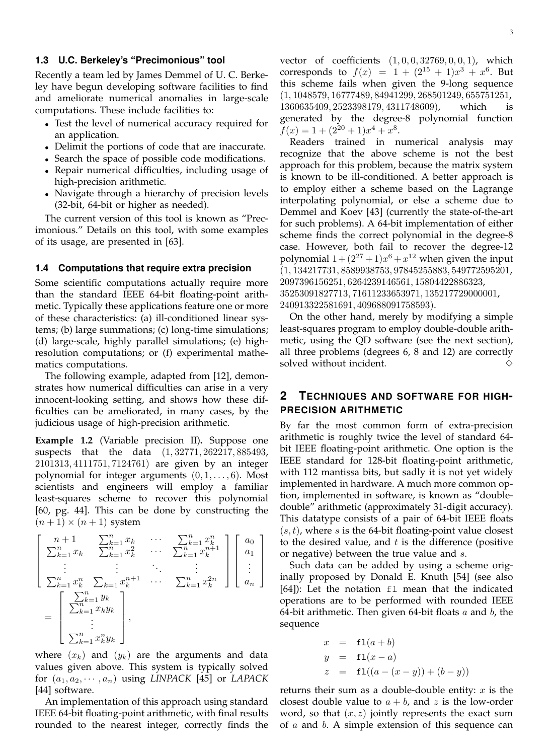## **1.3 U.C. Berkeley's "Precimonious" tool**

Recently a team led by James Demmel of U. C. Berkeley have begun developing software facilities to find and ameliorate numerical anomalies in large-scale computations. These include facilities to:

- Test the level of numerical accuracy required for an application.
- Delimit the portions of code that are inaccurate.
- Search the space of possible code modifications.
- Repair numerical difficulties, including usage of high-precision arithmetic.
- Navigate through a hierarchy of precision levels (32-bit, 64-bit or higher as needed).

The current version of this tool is known as "Precimonious." Details on this tool, with some examples of its usage, are presented in [63].

#### **1.4 Computations that require extra precision**

Some scientific computations actually require more than the standard IEEE 64-bit floating-point arithmetic. Typically these applications feature one or more of these characteristics: (a) ill-conditioned linear systems; (b) large summations; (c) long-time simulations; (d) large-scale, highly parallel simulations; (e) highresolution computations; or (f) experimental mathematics computations.

The following example, adapted from [12], demonstrates how numerical difficulties can arise in a very innocent-looking setting, and shows how these difficulties can be ameliorated, in many cases, by the judicious usage of high-precision arithmetic.

**Example 1.2** (Variable precision II)**.** Suppose one suspects that the data (1, 32771, 262217, 885493, 2101313, 4111751, 7124761) are given by an integer polynomial for integer arguments  $(0, 1, \ldots, 6)$ . Most scientists and engineers will employ a familiar least-squares scheme to recover this polynomial [60, pg. 44]. This can be done by constructing the  $(n+1) \times (n+1)$  system

$$
\begin{bmatrix}\nn+1 & \sum_{k=1}^{n} x_k & \cdots & \sum_{k=1}^{n} x_k^n \\
\sum_{k=1}^{n} x_k & \sum_{k=1}^{n} x_k^2 & \cdots & \sum_{k=1}^{n} x_k^{n+1} \\
\vdots & \vdots & \ddots & \vdots \\
\sum_{k=1}^{n} x_k^n & \sum_{k=1}^{n} x_k^{n+1} & \cdots & \sum_{k=1}^{n} x_k^{2n}\n\end{bmatrix}\n\begin{bmatrix}\na_0 \\
a_1 \\
\vdots \\
a_n\n\end{bmatrix}
$$
\n
$$
=\n\begin{bmatrix}\n\sum_{k=1}^{n} x_k \\
\sum_{k=1}^{n} x_k y_k \\
\vdots \\
\sum_{k=1}^{n} x_k^n y_k\n\end{bmatrix},
$$

where  $(x_k)$  and  $(y_k)$  are the arguments and data values given above. This system is typically solved for  $(a_1, a_2, \dots, a_n)$  using *LINPACK* [45] or *LAPACK* [44] software.

An implementation of this approach using standard IEEE 64-bit floating-point arithmetic, with final results rounded to the nearest integer, correctly finds the vector of coefficients  $(1, 0, 0, 32769, 0, 0, 1)$ , which corresponds to  $f(x) = 1 + (2^{15} + 1)x^3 + x^6$ . But this scheme fails when given the 9-long sequence (1, 1048579, 16777489, 84941299, 268501249, 655751251, 1360635409, 2523398179, 4311748609), which is generated by the degree-8 polynomial function  $f(x) = 1 + (2^{20} + 1)x^4 + x^8.$ 

Readers trained in numerical analysis may recognize that the above scheme is not the best approach for this problem, because the matrix system is known to be ill-conditioned. A better approach is to employ either a scheme based on the Lagrange interpolating polynomial, or else a scheme due to Demmel and Koev [43] (currently the state-of-the-art for such problems). A 64-bit implementation of either scheme finds the correct polynomial in the degree-8 case. However, both fail to recover the degree-12 polynomial  $1 + (2^{27} + 1)x^6 + x^{12}$  when given the input (1, 134217731, 8589938753, 97845255883, 549772595201, 2097396156251, 6264239146561, 15804422886323, 35253091827713, 71611233653971, 135217729000001, 240913322581691, 409688091758593).

On the other hand, merely by modifying a simple least-squares program to employ double-double arithmetic, using the QD software (see the next section), all three problems (degrees 6, 8 and 12) are correctly solved without incident.  $\Diamond$ 

# **2 TECHNIQUES AND SOFTWARE FOR HIGH-PRECISION ARITHMETIC**

By far the most common form of extra-precision arithmetic is roughly twice the level of standard 64 bit IEEE floating-point arithmetic. One option is the IEEE standard for 128-bit floating-point arithmetic, with 112 mantissa bits, but sadly it is not yet widely implemented in hardware. A much more common option, implemented in software, is known as "doubledouble" arithmetic (approximately 31-digit accuracy). This datatype consists of a pair of 64-bit IEEE floats  $(s, t)$ , where s is the 64-bit floating-point value closest to the desired value, and  $t$  is the difference (positive or negative) between the true value and s.

Such data can be added by using a scheme originally proposed by Donald E. Knuth [54] (see also [64]): Let the notation fl mean that the indicated operations are to be performed with rounded IEEE 64-bit arithmetic. Then given 64-bit floats  $a$  and  $b$ , the sequence

$$
x = f1(a + b)
$$
  
\n
$$
y = f1(x - a)
$$
  
\n
$$
z = f1((a - (x - y)) + (b - y))
$$

returns their sum as a double-double entity:  $x$  is the closest double value to  $a + b$ , and z is the low-order word, so that  $(x, z)$  jointly represents the exact sum of  $a$  and  $b$ . A simple extension of this sequence can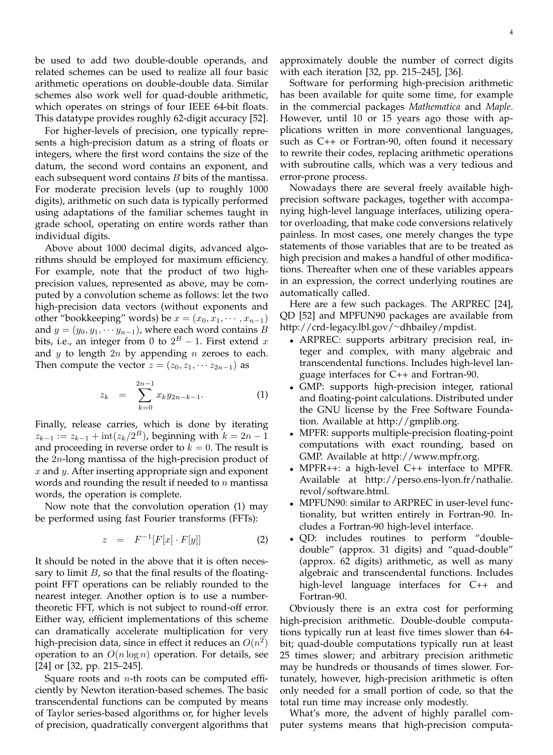be used to add two double-double operands, and related schemes can be used to realize all four basic arithmetic operations on double-double data. Similar schemes also work well for quad-double arithmetic, which operates on strings of four IEEE 64-bit floats. This datatype provides roughly 62-digit accuracy [52].

For higher-levels of precision, one typically represents a high-precision datum as a string of floats or integers, where the first word contains the size of the datum, the second word contains an exponent, and each subsequent word contains *B* bits of the mantissa. For moderate precision levels (up to roughly 1000 digits), arithmetic on such data is typically performed using adaptations of the familiar schemes taught in grade school, operating on entire words rather than individual digits.

Above about 1000 decimal digits, advanced algorithms should be employed for maximum efficiency. For example, note that the product of two highprecision values, represented as above, may be computed by a convolution scheme as follows: let the two high-precision data vectors (without exponents and other "bookkeeping" words) be  $x = (x_0, x_1, \dots, x_{n-1})$ and  $y = (y_0, y_1, \dots y_{n-1})$ , where each word contains B bits, i.e., an integer from 0 to  $2^B-1$ . First extend  $x$ and  $y$  to length  $2n$  by appending  $n$  zeroes to each. Then compute the vector  $z = (z_0, z_1, \dots z_{2n-1})$  as

$$
z_k = \sum_{k=0}^{2n-1} x_k y_{2n-k-1}.
$$
 (1)

Finally, release carries, which is done by iterating  $z_{k-1} := z_{k-1} + \text{int}(z_k/2^B)$ , beginning with  $k = 2n - 1$ and proceeding in reverse order to  $k = 0$ . The result is the 2n-long mantissa of the high-precision product of  $x$  and  $y$ . After inserting appropriate sign and exponent words and rounding the result if needed to  $n$  mantissa words, the operation is complete.

Now note that the convolution operation (1) may be performed using fast Fourier transforms (FFTs):

$$
z = F^{-1}[F[x] \cdot F[y]] \tag{2}
$$

It should be noted in the above that it is often necessary to limit  $B$ , so that the final results of the floatingpoint FFT operations can be reliably rounded to the nearest integer. Another option is to use a numbertheoretic FFT, which is not subject to round-off error. Either way, efficient implementations of this scheme can dramatically accelerate multiplication for very high-precision data, since in effect it reduces an  $O(n^2)$ operation to an  $O(n \log n)$  operation. For details, see [24] or [32, pp. 215–245].

Square roots and  $n$ -th roots can be computed efficiently by Newton iteration-based schemes. The basic transcendental functions can be computed by means of Taylor series-based algorithms or, for higher levels of precision, quadratically convergent algorithms that approximately double the number of correct digits with each iteration [32, pp. 215–245], [36].

Software for performing high-precision arithmetic has been available for quite some time, for example in the commercial packages *Mathematica* and *Maple*. However, until 10 or 15 years ago those with applications written in more conventional languages, such as C++ or Fortran-90, often found it necessary to rewrite their codes, replacing arithmetic operations with subroutine calls, which was a very tedious and error-prone process.

Nowadays there are several freely available highprecision software packages, together with accompanying high-level language interfaces, utilizing operator overloading, that make code conversions relatively painless. In most cases, one merely changes the type statements of those variables that are to be treated as high precision and makes a handful of other modifications. Thereafter when one of these variables appears in an expression, the correct underlying routines are automatically called.

Here are a few such packages. The ARPREC [24], QD [52] and MPFUN90 packages are available from http://crd-legacy.lbl.gov/<sup>∼</sup>dhbailey/mpdist.

- ARPREC: supports arbitrary precision real, integer and complex, with many algebraic and transcendental functions. Includes high-level language interfaces for C++ and Fortran-90.
- GMP: supports high-precision integer, rational and floating-point calculations. Distributed under the GNU license by the Free Software Foundation. Available at http://gmplib.org.
- MPFR: supports multiple-precision floating-point computations with exact rounding, based on GMP. Available at http://www.mpfr.org.
- MPFR++: a high-level C++ interface to MPFR. Available at http://perso.ens-lyon.fr/nathalie. revol/software.html.
- MPFUN90: similar to ARPREC in user-level functionality, but written entirely in Fortran-90. Includes a Fortran-90 high-level interface.
- QD: includes routines to perform "doubledouble" (approx. 31 digits) and "quad-double" (approx. 62 digits) arithmetic, as well as many algebraic and transcendental functions. Includes high-level language interfaces for C++ and Fortran-90.

Obviously there is an extra cost for performing high-precision arithmetic. Double-double computations typically run at least five times slower than 64 bit; quad-double computations typically run at least 25 times slower; and arbitrary precision arithmetic may be hundreds or thousands of times slower. Fortunately, however, high-precision arithmetic is often only needed for a small portion of code, so that the total run time may increase only modestly.

What's more, the advent of highly parallel computer systems means that high-precision computa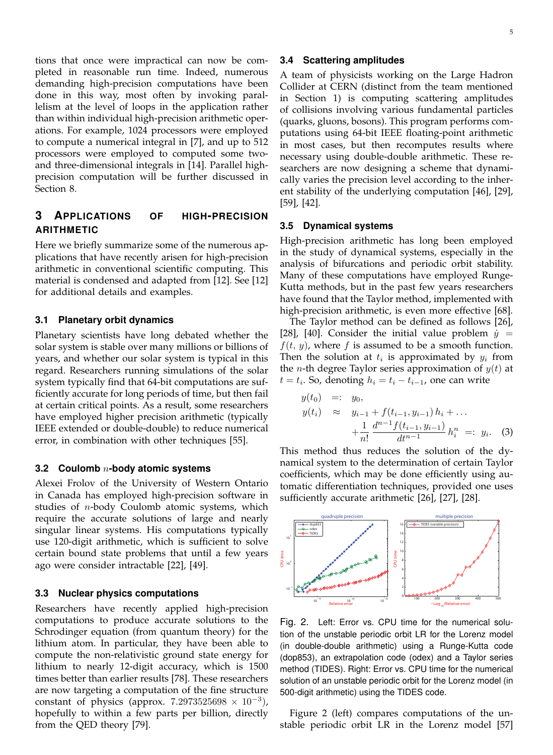tions that once were impractical can now be completed in reasonable run time. Indeed, numerous demanding high-precision computations have been done in this way, most often by invoking parallelism at the level of loops in the application rather than within individual high-precision arithmetic operations. For example, 1024 processors were employed to compute a numerical integral in [7], and up to 512 processors were employed to computed some twoand three-dimensional integrals in [14]. Parallel highprecision computation will be further discussed in Section 8.

# **3 APPLICATIONS OF HIGH-PRECISION ARITHMETIC**

Here we briefly summarize some of the numerous applications that have recently arisen for high-precision arithmetic in conventional scientific computing. This material is condensed and adapted from [12]. See [12] for additional details and examples.

## **3.1 Planetary orbit dynamics**

Planetary scientists have long debated whether the solar system is stable over many millions or billions of years, and whether our solar system is typical in this regard. Researchers running simulations of the solar system typically find that 64-bit computations are sufficiently accurate for long periods of time, but then fail at certain critical points. As a result, some researchers have employed higher precision arithmetic (typically IEEE extended or double-double) to reduce numerical error, in combination with other techniques [55].

### **3.2 Coulomb** n**-body atomic systems**

Alexei Frolov of the University of Western Ontario in Canada has employed high-precision software in studies of  $n$ -body Coulomb atomic systems, which require the accurate solutions of large and nearly singular linear systems. His computations typically use 120-digit arithmetic, which is sufficient to solve certain bound state problems that until a few years ago were consider intractable [22], [49].

## **3.3 Nuclear physics computations**

Researchers have recently applied high-precision computations to produce accurate solutions to the Schrodinger equation (from quantum theory) for the lithium atom. In particular, they have been able to compute the non-relativistic ground state energy for lithium to nearly 12-digit accuracy, which is 1500 times better than earlier results [78]. These researchers are now targeting a computation of the fine structure constant of physics (approx. 7.2973525698  $\times$  10<sup>-3</sup>), hopefully to within a few parts per billion, directly from the QED theory [79].

## **3.4 Scattering amplitudes**

A team of physicists working on the Large Hadron Collider at CERN (distinct from the team mentioned in Section 1) is computing scattering amplitudes of collisions involving various fundamental particles (quarks, gluons, bosons). This program performs computations using 64-bit IEEE floating-point arithmetic in most cases, but then recomputes results where necessary using double-double arithmetic. These researchers are now designing a scheme that dynamically varies the precision level according to the inherent stability of the underlying computation [46], [29], [59], [42].

## **3.5 Dynamical systems**

High-precision arithmetic has long been employed in the study of dynamical systems, especially in the analysis of bifurcations and periodic orbit stability. Many of these computations have employed Runge-Kutta methods, but in the past few years researchers have found that the Taylor method, implemented with high-precision arithmetic, is even more effective [68].

The Taylor method can be defined as follows [26], [28], [40]. Consider the initial value problem  $\dot{y} =$  $f(t, y)$ , where f is assumed to be a smooth function. Then the solution at  $t_i$  is approximated by  $y_i$  from the *n*-th degree Taylor series approximation of  $y(t)$  at  $t = t_i$ . So, denoting  $h_i = t_i - t_{i-1}$ , one can write

$$
y(t_0) =: y_0,
$$
  
\n
$$
y(t_i) \approx y_{i-1} + f(t_{i-1}, y_{i-1}) h_i + ...
$$
  
\n
$$
+ \frac{1}{n!} \frac{d^{n-1} f(t_{i-1}, y_{i-1})}{dt^{n-1} h_i^n =: y_i.
$$
 (3)

This method thus reduces the solution of the dynamical system to the determination of certain Taylor coefficients, which may be done efficiently using automatic differentiation techniques, provided one uses sufficiently accurate arithmetic [26], [27], [28].



Fig. 2. Left: Error vs. CPU time for the numerical solution of the unstable periodic orbit LR for the Lorenz model (in double-double arithmetic) using a Runge-Kutta code (dop853), an extrapolation code (odex) and a Taylor series method (TIDES). Right: Error vs. CPU time for the numerical solution of an unstable periodic orbit for the Lorenz model (in 500-digit arithmetic) using the TIDES code.

Figure 2 (left) compares computations of the unstable periodic orbit LR in the Lorenz model [57]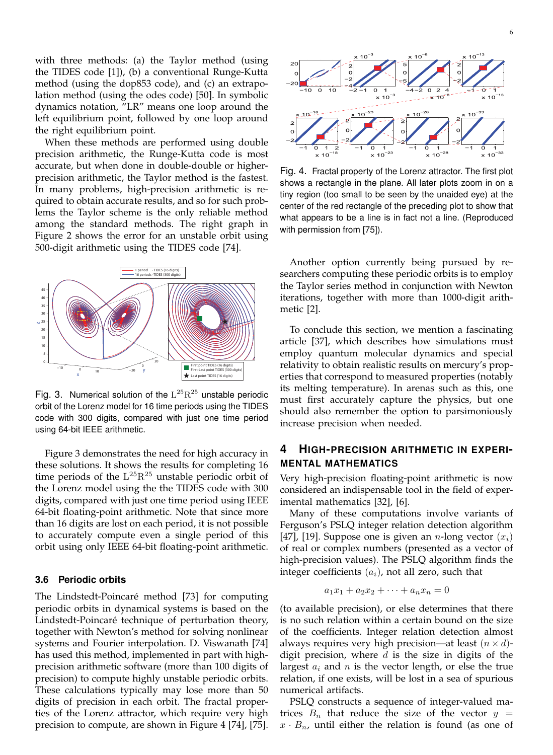with three methods: (a) the Taylor method (using the TIDES code [1]), (b) a conventional Runge-Kutta method (using the dop853 code), and (c) an extrapolation method (using the odes code) [50]. In symbolic dynamics notation, "LR" means one loop around the left equilibrium point, followed by one loop around the right equilibrium point.

When these methods are performed using double precision arithmetic, the Runge-Kutta code is most accurate, but when done in double-double or higherprecision arithmetic, the Taylor method is the fastest. In many problems, high-precision arithmetic is required to obtain accurate results, and so for such problems the Taylor scheme is the only reliable method among the standard methods. The right graph in Figure 2 shows the error for an unstable orbit using 500-digit arithmetic using the TIDES code [74].



Fig. 3. Numerical solution of the  $L^{25}R^{25}$  unstable periodic orbit of the Lorenz model for 16 time periods using the TIDES code with 300 digits, compared with just one time period using 64-bit IEEE arithmetic.

Figure 3 demonstrates the need for high accuracy in these solutions. It shows the results for completing 16 time periods of the  $L^{25}R^{25}$  unstable periodic orbit of the Lorenz model using the the TIDES code with 300 digits, compared with just one time period using IEEE 64-bit floating-point arithmetic. Note that since more than 16 digits are lost on each period, it is not possible to accurately compute even a single period of this orbit using only IEEE 64-bit floating-point arithmetic.

## **3.6 Periodic orbits**

The Lindstedt-Poincaré method [73] for computing periodic orbits in dynamical systems is based on the Lindstedt-Poincaré technique of perturbation theory, together with Newton's method for solving nonlinear systems and Fourier interpolation. D. Viswanath [74] has used this method, implemented in part with highprecision arithmetic software (more than 100 digits of precision) to compute highly unstable periodic orbits. These calculations typically may lose more than 50 digits of precision in each orbit. The fractal properties of the Lorenz attractor, which require very high precision to compute, are shown in Figure 4 [74], [75].



Fig. 4. Fractal property of the Lorenz attractor. The first plot shows a rectangle in the plane. All later plots zoom in on a tiny region (too small to be seen by the unaided eye) at the center of the red rectangle of the preceding plot to show that what appears to be a line is in fact not a line. (Reproduced with permission from [75]).

Another option currently being pursued by researchers computing these periodic orbits is to employ the Taylor series method in conjunction with Newton iterations, together with more than 1000-digit arithmetic [2].

To conclude this section, we mention a fascinating article [37], which describes how simulations must employ quantum molecular dynamics and special relativity to obtain realistic results on mercury's properties that correspond to measured properties (notably its melting temperature). In arenas such as this, one must first accurately capture the physics, but one should also remember the option to parsimoniously increase precision when needed.

# **4 HIGH-PRECISION ARITHMETIC IN EXPERI-MENTAL MATHEMATICS**

Very high-precision floating-point arithmetic is now considered an indispensable tool in the field of experimental mathematics [32], [6].

Many of these computations involve variants of Ferguson's PSLQ integer relation detection algorithm [47], [19]. Suppose one is given an *n*-long vector  $(x_i)$ of real or complex numbers (presented as a vector of high-precision values). The PSLQ algorithm finds the integer coefficients  $(a_i)$ , not all zero, such that

$$
a_1x_1 + a_2x_2 + \dots + a_nx_n = 0
$$

(to available precision), or else determines that there is no such relation within a certain bound on the size of the coefficients. Integer relation detection almost always requires very high precision—at least  $(n \times d)$ digit precision, where  $d$  is the size in digits of the largest  $a_i$  and n is the vector length, or else the true relation, if one exists, will be lost in a sea of spurious numerical artifacts.

PSLQ constructs a sequence of integer-valued matrices  $B_n$  that reduce the size of the vector  $y =$  $x \cdot B_n$ , until either the relation is found (as one of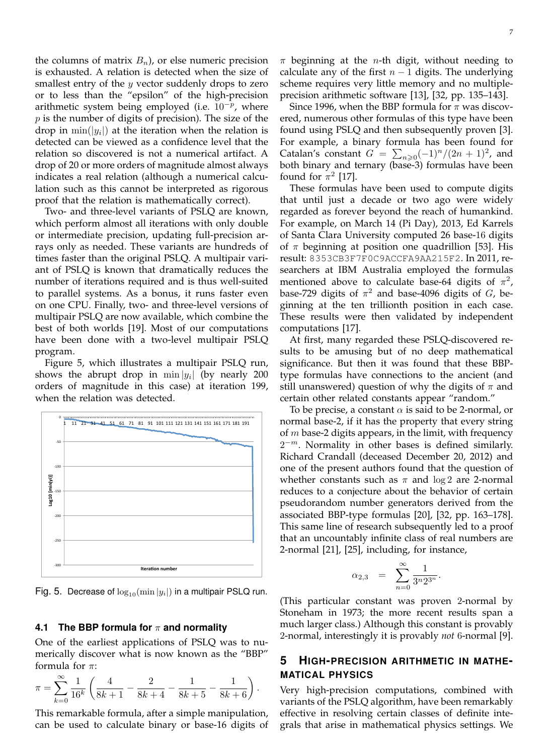the columns of matrix  $B_n$ ), or else numeric precision is exhausted. A relation is detected when the size of smallest entry of the  $y$  vector suddenly drops to zero or to less than the "epsilon" of the high-precision arithmetic system being employed (i.e.  $10^{-p}$ , where  $p$  is the number of digits of precision). The size of the drop in  $\min(|y_i|)$  at the iteration when the relation is detected can be viewed as a confidence level that the relation so discovered is not a numerical artifact. A drop of 20 or more orders of magnitude almost always indicates a real relation (although a numerical calculation such as this cannot be interpreted as rigorous proof that the relation is mathematically correct).

Two- and three-level variants of PSLQ are known, which perform almost all iterations with only double or intermediate precision, updating full-precision arrays only as needed. These variants are hundreds of times faster than the original PSLQ. A multipair variant of PSLQ is known that dramatically reduces the number of iterations required and is thus well-suited to parallel systems. As a bonus, it runs faster even on one CPU. Finally, two- and three-level versions of multipair PSLQ are now available, which combine the best of both worlds [19]. Most of our computations have been done with a two-level multipair PSLQ program.

Figure 5, which illustrates a multipair PSLQ run, shows the abrupt drop in  $\min |y_i|$  (by nearly 200 orders of magnitude in this case) at iteration 199, when the relation was detected.



Fig. 5. Decrease of  $\log_{10}(\min|y_i|)$  in a multipair PSLQ run.

## **4.1 The BBP formula for** π **and normality**

One of the earliest applications of PSLQ was to numerically discover what is now known as the "BBP" formula for  $\pi$ :

$$
\pi = \sum_{k=0}^{\infty} \frac{1}{16^k} \left( \frac{4}{8k+1} - \frac{2}{8k+4} - \frac{1}{8k+5} - \frac{1}{8k+6} \right).
$$

This remarkable formula, after a simple manipulation, can be used to calculate binary or base-16 digits of  $\pi$  beginning at the *n*-th digit, without needing to calculate any of the first  $n - 1$  digits. The underlying scheme requires very little memory and no multipleprecision arithmetic software [13], [32, pp. 135–143].

Since 1996, when the BBP formula for  $\pi$  was discovered, numerous other formulas of this type have been found using PSLQ and then subsequently proven [3]. For example, a binary formula has been found for Catalan's constant  $G = \sum_{n\geqslant 0} (-1)^n/(2n+1)^2$ , and both binary and ternary (base-3) formulas have been found for  $\pi^2$  [17].

These formulas have been used to compute digits that until just a decade or two ago were widely regarded as forever beyond the reach of humankind. For example, on March 14 (Pi Day), 2013, Ed Karrels of Santa Clara University computed 26 base-16 digits of  $\pi$  beginning at position one quadrillion [53]. His result: 8353CB3F7F0C9ACCFA9AA215F2. In 2011, researchers at IBM Australia employed the formulas mentioned above to calculate base-64 digits of  $\pi^2$ , base-729 digits of  $\pi^2$  and base-4096 digits of G, beginning at the ten trillionth position in each case. These results were then validated by independent computations [17].

At first, many regarded these PSLQ-discovered results to be amusing but of no deep mathematical significance. But then it was found that these BBPtype formulas have connections to the ancient (and still unanswered) question of why the digits of  $\pi$  and certain other related constants appear "random."

To be precise, a constant  $\alpha$  is said to be 2-normal, or normal base-2, if it has the property that every string of  $m$  base-2 digits appears, in the limit, with frequency  $2^{-m}$ . Normality in other bases is defined similarly. Richard Crandall (deceased December 20, 2012) and one of the present authors found that the question of whether constants such as  $\pi$  and log 2 are 2-normal reduces to a conjecture about the behavior of certain pseudorandom number generators derived from the associated BBP-type formulas [20], [32, pp. 163–178]. This same line of research subsequently led to a proof that an uncountably infinite class of real numbers are 2-normal [21], [25], including, for instance,

$$
\alpha_{2,3} = \sum_{n=0}^{\infty} \frac{1}{3^n 2^{3^n}}.
$$

(This particular constant was proven 2-normal by Stoneham in 1973; the more recent results span a much larger class.) Although this constant is provably 2-normal, interestingly it is provably *not* 6-normal [9].

# **5 HIGH-PRECISION ARITHMETIC IN MATHE-MATICAL PHYSICS**

Very high-precision computations, combined with variants of the PSLQ algorithm, have been remarkably effective in resolving certain classes of definite integrals that arise in mathematical physics settings. We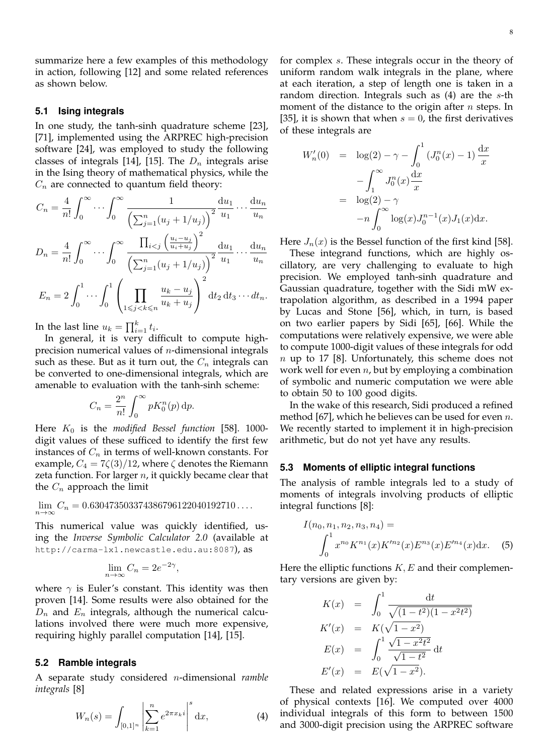summarize here a few examples of this methodology in action, following [12] and some related references as shown below.

### **5.1 Ising integrals**

In one study, the tanh-sinh quadrature scheme [23], [71], implemented using the ARPREC high-precision software [24], was employed to study the following classes of integrals [14], [15]. The  $D_n$  integrals arise in the Ising theory of mathematical physics, while the  $C_n$  are connected to quantum field theory:

$$
C_n = \frac{4}{n!} \int_0^\infty \cdots \int_0^\infty \frac{1}{\left(\sum_{j=1}^n (u_j + 1/u_j)\right)^2} \frac{du_1}{u_1} \cdots \frac{du_n}{u_n}
$$
  

$$
A \quad \int_0^\infty \frac{1}{\left(\sum_{j=1}^n (u_j + 1/u_j)\right)^2} \frac{du_1}{u_1} \cdots \frac{du_n}{u_n}
$$

$$
D_n = \frac{4}{n!} \int_0^\infty \cdots \int_0^\infty \frac{\prod_{i < j} \left(\frac{u_i - u_j}{u_i + u_j}\right)}{\left(\sum_{j=1}^n (u_j + 1/u_j)\right)^2} \frac{du_1}{u_1} \cdots \frac{du_n}{u_n}
$$
\n
$$
E_n = 2 \int_0^1 \cdots \int_0^1 \left(\prod_{1 \le j < k \le n} \frac{u_k - u_j}{u_k + u_j}\right)^2 dt_2 dt_3 \cdots dt_n.
$$

In the last line  $u_k = \prod_{i=1}^k t_i$ .

In general, it is very difficult to compute highprecision numerical values of  $n$ -dimensional integrals such as these. But as it turn out, the  $C_n$  integrals can be converted to one-dimensional integrals, which are amenable to evaluation with the tanh-sinh scheme:

$$
C_n = \frac{2^n}{n!} \int_0^\infty pK_0^n(p) \, \mathrm{d}p.
$$

Here  $K_0$  is the *modified Bessel function* [58]. 1000digit values of these sufficed to identify the first few instances of  $C_n$  in terms of well-known constants. For example,  $C_4 = 7\zeta(3)/12$ , where  $\zeta$  denotes the Riemann zeta function. For larger  $n$ , it quickly became clear that the  $C_n$  approach the limit

$$
\lim_{n \to \infty} C_n = 0.630473503374386796122040192710\dots
$$

This numerical value was quickly identified, using the *Inverse Symbolic Calculator 2.0* (available at http://carma-lx1.newcastle.edu.au:8087), as

$$
\lim_{n \to \infty} C_n = 2e^{-2\gamma},
$$

where  $\gamma$  is Euler's constant. This identity was then proven [14]. Some results were also obtained for the  $D_n$  and  $E_n$  integrals, although the numerical calculations involved there were much more expensive, requiring highly parallel computation [14], [15].

### **5.2 Ramble integrals**

A separate study considered n-dimensional *ramble integrals* [8]

$$
W_n(s) = \int_{[0,1]^n} \left| \sum_{k=1}^n e^{2\pi x_k i} \right|^s dx,
$$
 (4)

for complex s. These integrals occur in the theory of uniform random walk integrals in the plane, where at each iteration, a step of length one is taken in a random direction. Integrals such as  $(4)$  are the s-th moment of the distance to the origin after  $n$  steps. In [35], it is shown that when  $s = 0$ , the first derivatives of these integrals are

$$
W'_{n}(0) = \log(2) - \gamma - \int_{0}^{1} (J_{0}^{n}(x) - 1) \frac{dx}{x}
$$

$$
- \int_{1}^{\infty} J_{0}^{n}(x) \frac{dx}{x}
$$

$$
= \log(2) - \gamma
$$

$$
-n \int_{0}^{\infty} \log(x) J_{0}^{n-1}(x) J_{1}(x) dx.
$$

Here  $J_n(x)$  is the Bessel function of the first kind [58].

These integrand functions, which are highly oscillatory, are very challenging to evaluate to high precision. We employed tanh-sinh quadrature and Gaussian quadrature, together with the Sidi mW extrapolation algorithm, as described in a 1994 paper by Lucas and Stone [56], which, in turn, is based on two earlier papers by Sidi [65], [66]. While the computations were relatively expensive, we were able to compute 1000-digit values of these integrals for odd  $n$  up to 17 [8]. Unfortunately, this scheme does not work well for even  $n$ , but by employing a combination of symbolic and numeric computation we were able to obtain 50 to 100 good digits.

In the wake of this research, Sidi produced a refined method [67], which he believes can be used for even  $n$ . We recently started to implement it in high-precision arithmetic, but do not yet have any results.

### **5.3 Moments of elliptic integral functions**

The analysis of ramble integrals led to a study of moments of integrals involving products of elliptic integral functions [8]:

$$
I(n_0, n_1, n_2, n_3, n_4) =
$$
  

$$
\int_0^1 x^{n_0} K^{n_1}(x) K'^{n_2}(x) E^{n_3}(x) E'^{n_4}(x) dx.
$$
 (5)

Here the elliptic functions  $K, E$  and their complementary versions are given by:

$$
K(x) = \int_0^1 \frac{dt}{\sqrt{(1 - t^2)(1 - x^2 t^2)}}
$$
  
\n
$$
K'(x) = K(\sqrt{1 - x^2})
$$
  
\n
$$
E(x) = \int_0^1 \frac{\sqrt{1 - x^2 t^2}}{\sqrt{1 - t^2}} dt
$$
  
\n
$$
E'(x) = E(\sqrt{1 - x^2}).
$$

These and related expressions arise in a variety of physical contexts [16]. We computed over 4000 individual integrals of this form to between 1500 and 3000-digit precision using the ARPREC software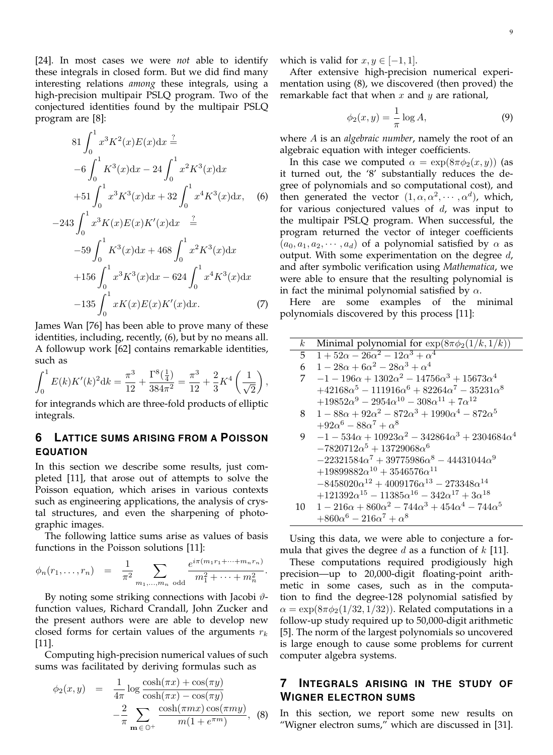[24]. In most cases we were *not* able to identify these integrals in closed form. But we did find many interesting relations *among* these integrals, using a high-precision multipair PSLQ program. Two of the conjectured identities found by the multipair PSLQ program are [8]:

$$
81 \int_0^1 x^3 K^2(x) E(x) dx \stackrel{?}{=}
$$
  
\n
$$
-6 \int_0^1 K^3(x) dx - 24 \int_0^1 x^2 K^3(x) dx
$$
  
\n
$$
+51 \int_0^1 x^3 K^3(x) dx + 32 \int_0^1 x^4 K^3(x) dx, \quad (6)
$$
  
\n
$$
-243 \int_0^1 x^3 K(x) E(x) K'(x) dx \stackrel{?}{=}
$$
  
\n
$$
-59 \int_0^1 K^3(x) dx + 468 \int_0^1 x^2 K^3(x) dx
$$
  
\n
$$
+156 \int_0^1 x^3 K^3(x) dx - 624 \int_0^1 x^4 K^3(x) dx
$$
  
\n
$$
-135 \int_0^1 x K(x) E(x) K'(x) dx.
$$
  
\n(7)

James Wan [76] has been able to prove many of these identities, including, recently, (6), but by no means all. A followup work [62] contains remarkable identities, such as

$$
\int_0^1 E(k)K'(k)^2 \mathrm{d}k = \frac{\pi^3}{12} + \frac{\Gamma^8(\frac{1}{4})}{384\pi^2} = \frac{\pi^3}{12} + \frac{2}{3}K^4\left(\frac{1}{\sqrt{2}}\right)
$$

,

for integrands which are three-fold products of elliptic integrals.

# **6 LATTICE SUMS ARISING FROM A POISSON EQUATION**

In this section we describe some results, just completed [11], that arose out of attempts to solve the Poisson equation, which arises in various contexts such as engineering applications, the analysis of crystal structures, and even the sharpening of photographic images.

The following lattice sums arise as values of basis functions in the Poisson solutions [11]:

$$
\phi_n(r_1,\ldots,r_n) = \frac{1}{\pi^2} \sum_{m_1,\ldots,m_n \text{ odd}} \frac{e^{i\pi(m_1r_1+\cdots+m_nr_n)}}{m_1^2+\cdots+m_n^2}.
$$

By noting some striking connections with Jacobi  $\vartheta$ function values, Richard Crandall, John Zucker and the present authors were are able to develop new closed forms for certain values of the arguments  $r_k$ [11].

Computing high-precision numerical values of such sums was facilitated by deriving formulas such as

$$
\phi_2(x, y) = \frac{1}{4\pi} \log \frac{\cosh(\pi x) + \cos(\pi y)}{\cosh(\pi x) - \cos(\pi y)}
$$

$$
-\frac{2}{\pi} \sum_{\mathbf{m} \in \mathbb{O}^+} \frac{\cosh(\pi mx) \cos(\pi my)}{m(1 + e^{\pi m})}, \quad (8)
$$

9

which is valid for  $x, y \in [-1, 1]$ .

After extensive high-precision numerical experimentation using (8), we discovered (then proved) the remarkable fact that when  $x$  and  $y$  are rational,

$$
\phi_2(x, y) = \frac{1}{\pi} \log A,\tag{9}
$$

where A is an *algebraic number*, namely the root of an algebraic equation with integer coefficients.

In this case we computed  $\alpha = \exp(8\pi \phi_2(x, y))$  (as it turned out, the '8' substantially reduces the degree of polynomials and so computational cost), and then generated the vector  $(1, \alpha, \alpha^2, \dots, \alpha^d)$ , which, for various conjectured values of  $d$ , was input to the multipair PSLQ program. When successful, the program returned the vector of integer coefficients  $(a_0, a_1, a_2, \dots, a_d)$  of a polynomial satisfied by  $\alpha$  as output. With some experimentation on the degree  $d$ , and after symbolic verification using *Mathematica*, we were able to ensure that the resulting polynomial is in fact the minimal polynomial satisfied by  $\alpha$ .

Here are some examples of the minimal polynomials discovered by this process [11]:

| $\boldsymbol{k}$ | Minimal polynomial for $\exp(8\pi\phi_2(1/k,1/k))$                      |  |  |  |
|------------------|-------------------------------------------------------------------------|--|--|--|
| 5                | $1+52\alpha-26\alpha^2-12\alpha^3+\alpha^4$                             |  |  |  |
| 6                | $1 - 28\alpha + 6\alpha^2 - 28\alpha^3 + \alpha^4$                      |  |  |  |
| 7                | $-1 - 196\alpha + 1302\alpha^2 - 14756\alpha^3 + 15673\alpha^4$         |  |  |  |
|                  | $+42168\alpha^5 - 111916\alpha^6 + 82264\alpha^7 - 35231\alpha^8$       |  |  |  |
|                  | $+19852\alpha^9 - 2954\alpha^{10} - 308\alpha^{11} + 7\alpha^{12}$      |  |  |  |
| 8                | $1 - 88\alpha + 92\alpha^2 - 872\alpha^3 + 1990\alpha^4 - 872\alpha^5$  |  |  |  |
|                  | $+92\alpha^{6} - 88\alpha^{7} + \alpha^{8}$                             |  |  |  |
| 9                | $-1 - 534\alpha + 10923\alpha^2 - 342864\alpha^3 + 2304684\alpha^4$     |  |  |  |
|                  | $-7820712\alpha^5 + 13729068\alpha^6$                                   |  |  |  |
|                  | $-22321584\alpha^7 + 39775986\alpha^8 - 44431044\alpha^9$               |  |  |  |
|                  | $+19899882\alpha^{10}+3546576\alpha^{11}$                               |  |  |  |
|                  | $-8458020\alpha^{12} + 4009176\alpha^{13} - 273348\alpha^{14}$          |  |  |  |
|                  | $+121392\alpha^{15} - 11385\alpha^{16} - 342\alpha^{17} + 3\alpha^{18}$ |  |  |  |
| 10               | $1 - 216\alpha + 860\alpha^2 - 744\alpha^3 + 454\alpha^4 - 744\alpha^5$ |  |  |  |
|                  | $+860\alpha^{6} - 216\alpha^{7} + \alpha^{8}$                           |  |  |  |

Using this data, we were able to conjecture a formula that gives the degree d as a function of  $k$  [11].

These computations required prodigiously high precision—up to 20,000-digit floating-point arithmetic in some cases, such as in the computation to find the degree-128 polynomial satisfied by  $\alpha = \exp(8\pi\phi_2(1/32, 1/32))$ . Related computations in a follow-up study required up to 50,000-digit arithmetic [5]. The norm of the largest polynomials so uncovered is large enough to cause some problems for current computer algebra systems.

# **7 INTEGRALS ARISING IN THE STUDY OF WIGNER ELECTRON SUMS**

In this section, we report some new results on "Wigner electron sums," which are discussed in [31].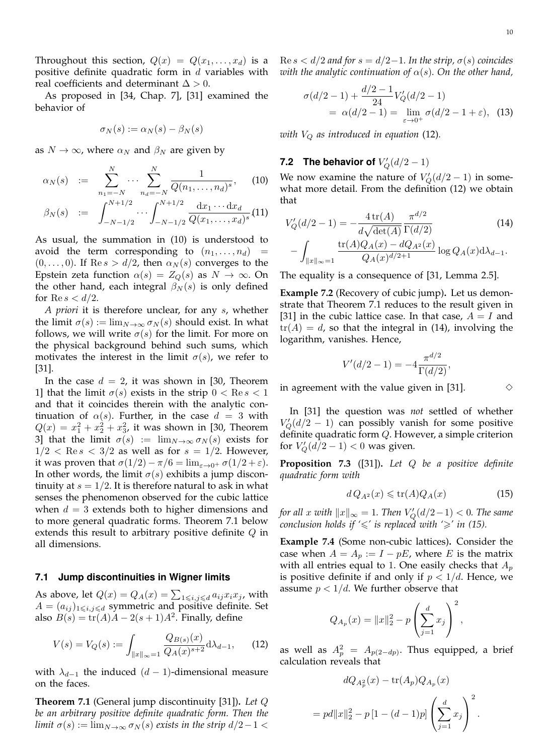Throughout this section,  $Q(x) = Q(x_1, \ldots, x_d)$  is a positive definite quadratic form in  $d$  variables with real coefficients and determinant  $\Delta > 0$ .

As proposed in [34, Chap. 7], [31] examined the behavior of

$$
\sigma_N(s) := \alpha_N(s) - \beta_N(s)
$$

as  $N \to \infty$ , where  $\alpha_N$  and  $\beta_N$  are given by

$$
\alpha_N(s) := \sum_{n_1=-N}^{N} \cdots \sum_{n_d=-N}^{N} \frac{1}{Q(n_1,\ldots,n_d)^s}, \qquad (10)
$$

$$
\beta_N(s) \quad := \quad \int_{-N-1/2}^{N+1/2} \cdots \int_{-N-1/2}^{N+1/2} \frac{\mathrm{d}x_1 \cdots \mathrm{d}x_d}{Q(x_1, \ldots, x_d)^s} \tag{11}
$$

As usual, the summation in (10) is understood to avoid the term corresponding to  $(n_1, \ldots, n_d)$  $(0, \ldots, 0)$ . If Re  $s > d/2$ , then  $\alpha_N(s)$  converges to the Epstein zeta function  $\alpha(s) = Z_Q(s)$  as  $N \to \infty$ . On the other hand, each integral  $\beta_N(s)$  is only defined for Re  $s < d/2$ .

*A priori* it is therefore unclear, for any s, whether the limit  $\sigma(s) := \lim_{N \to \infty} \sigma_N(s)$  should exist. In what follows, we will write  $\sigma(s)$  for the limit. For more on the physical background behind such sums, which motivates the interest in the limit  $\sigma(s)$ , we refer to [31].

In the case  $d = 2$ , it was shown in [30, Theorem 1] that the limit  $\sigma(s)$  exists in the strip  $0 < \text{Re } s < 1$ and that it coincides therein with the analytic continuation of  $\alpha(s)$ . Further, in the case  $d = 3$  with  $Q(x) = x_1^2 + x_2^2 + x_3^2$ , it was shown in [30, Theorem 3] that the limit  $\sigma(s) := \lim_{N \to \infty} \sigma_N(s)$  exists for  $1/2 < \text{Re } s < 3/2$  as well as for  $s = 1/2$ . However, it was proven that  $\sigma(1/2) - \pi/6 = \lim_{\varepsilon \to 0^+} \sigma(1/2 + \varepsilon)$ . In other words, the limit  $\sigma(s)$  exhibits a jump discontinuity at  $s = 1/2$ . It is therefore natural to ask in what senses the phenomenon observed for the cubic lattice when  $d = 3$  extends both to higher dimensions and to more general quadratic forms. Theorem 7.1 below extends this result to arbitrary positive definite Q in all dimensions.

#### **7.1 Jump discontinuities in Wigner limits**

As above, let  $Q(x) = Q_A(x) = \sum_{1 \leq i,j \leq d} a_{ij} x_i x_j$ , with  $A = (a_{ij})_{1 \leq i,j \leq d}$  symmetric and positive definite. Set also  $B(s) = \text{tr}(A)A - 2(s+1)A^2$ . Finally, define

$$
V(s) = V_Q(s) := \int_{\|x\|_{\infty} = 1} \frac{Q_{B(s)}(x)}{Q_A(x)^{s+2}} d\lambda_{d-1}, \qquad (12)
$$

with  $\lambda_{d-1}$  the induced  $(d-1)$ -dimensional measure on the faces.

**Theorem 7.1** (General jump discontinuity [31])**.** *Let* Q *be an arbitrary positive definite quadratic form. Then the limit*  $\sigma(s) := \lim_{N \to \infty} \sigma_N(s)$  *exists in the strip*  $d/2 - 1 <$ 

 $\text{Re } s < d/2$  *and for*  $s = d/2 - 1$ *. In the strip,*  $\sigma(s)$  *coincides with the analytic continuation of*  $\alpha(s)$ *. On the other hand,* 

$$
\sigma(d/2 - 1) + \frac{d/2 - 1}{24} V_Q'(d/2 - 1)
$$
  
=  $\alpha(d/2 - 1) = \lim_{\varepsilon \to 0^+} \sigma(d/2 - 1 + \varepsilon)$ , (13)

*with*  $V_Q$  *as introduced in equation* (12).

# **7.2** The behavior of  $V'_Q(d/2-1)$

We now examine the nature of  $V'_Q(d/2-1)$  in somewhat more detail. From the definition (12) we obtain that

$$
V'_{Q}(d/2 - 1) = -\frac{4 \operatorname{tr}(A)}{d\sqrt{\det(A)}} \frac{\pi^{d/2}}{\Gamma(d/2)} \tag{14}
$$

$$
-\int_{\|x\|_{\infty}=1} \frac{\operatorname{tr}(A)Q_{A}(x) - dQ_{A^{2}}(x)}{Q_{A}(x)^{d/2+1}} \log Q_{A}(x) d\lambda_{d-1}.
$$

The equality is a consequence of [31, Lemma 2.5].

**Example 7.2** (Recovery of cubic jump)**.** Let us demonstrate that Theorem 7.1 reduces to the result given in [31] in the cubic lattice case. In that case,  $A = I$  and  $tr(A) = d$ , so that the integral in (14), involving the logarithm, vanishes. Hence,

$$
V'(d/2 - 1) = -4 \frac{\pi^{d/2}}{\Gamma(d/2)},
$$

in agreement with the value given in [31].  $\Diamond$ 

In [31] the question was *not* settled of whether  $V'_Q(d/2-1)$  can possibly vanish for some positive definite quadratic form  $Q$ . However, a simple criterion for  $V'_Q(d/2-1) < 0$  was given.

**Proposition 7.3** ([31])**.** *Let* Q *be a positive definite quadratic form with*

$$
dQ_{A^2}(x) \leqslant \text{tr}(A)Q_A(x) \tag{15}
$$

*for all*  $x$  *with*  $||x||_{\infty} = 1$ *. Then*  $V'_{Q}(d/2-1) < 0$ *. The same conclusion holds if*  $\leq$ ' *is replaced with '* $\geq$ *' in (15).* 

**Example 7.4** (Some non-cubic lattices)**.** Consider the case when  $A = A_p := I - pE$ , where E is the matrix with all entries equal to 1. One easily checks that  $A_p$ is positive definite if and only if  $p < 1/d$ . Hence, we assume  $p < 1/d$ . We further observe that

$$
Q_{A_p}(x) = ||x||_2^2 - p \left(\sum_{j=1}^d x_j\right)^2,
$$

as well as  $A_p^2 = A_{p(2-dp)}$ . Thus equipped, a brief calculation reveals that

$$
dQ_{A_p^2}(x) - \text{tr}(A_p)Q_{A_p}(x)
$$

$$
pd||x||_2^2 - p[1 - (d-1)p] \left(\sum_{j=1}^d x_j\right)^2.
$$

 $=$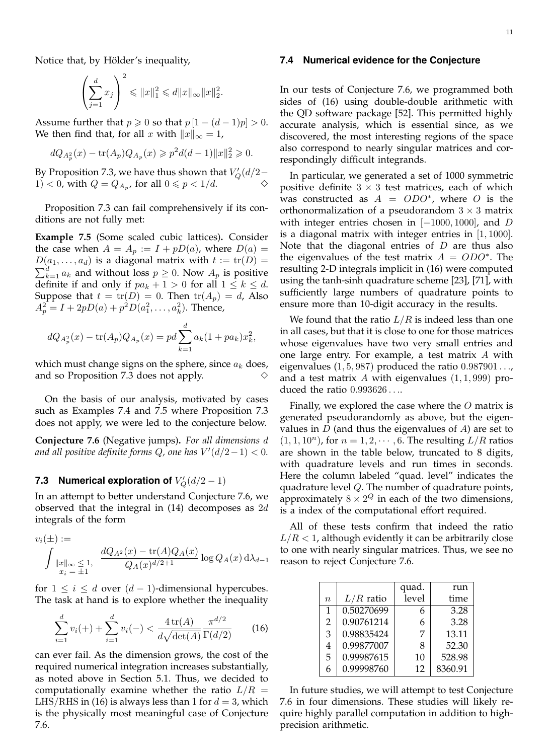Notice that, by Hölder's inequality,

$$
\left(\sum_{j=1}^d x_j\right)^2 \leqslant ||x||_1^2 \leqslant d||x||_{\infty} ||x||_2^2.
$$

Assume further that  $p \ge 0$  so that  $p[1-(d-1)p] > 0$ . We then find that, for all x with  $||x||_{\infty} = 1$ ,

$$
dQ_{A_p^2}(x) - \text{tr}(A_p)Q_{A_p}(x) \geqslant p^2 d(d-1) ||x||_2^2 \geqslant 0.
$$

By Proposition 7.3, we have thus shown that  $V_Q'(d/2-$ 1)  $< 0$ , with  $Q = Q_{A_p}$ , for all  $0 \leq p < 1/d$ .

Proposition 7.3 can fail comprehensively if its conditions are not fully met:

**Example 7.5** (Some scaled cubic lattices)**.** Consider the case when  $A = A_p := I + pD(a)$ , where  $D(a) =$  $D(a_1, \ldots, a_d)$  is a diagonal matrix with  $t := \text{tr}(D) =$  $\sum_{k=1}^{d} a_k$  and without loss  $p \ge 0$ . Now  $A_p$  is positive definite if and only if  $pa_k + 1 > 0$  for all  $1 \leq k \leq d$ . Suppose that  $t = \text{tr}(D) = 0$ . Then  $\text{tr}(A_p) = d$ , Also  $A_p^2 = I + 2pD(a) + p^2D(a_1^2, \ldots, a_k^2)$ . Thence,

$$
dQ_{A_p^2}(x) - \text{tr}(A_p)Q_{A_p}(x) = pd \sum_{k=1}^d a_k (1 + pa_k) x_k^2,
$$

which must change signs on the sphere, since  $a_k$  does, and so Proposition 7.3 does not apply.

On the basis of our analysis, motivated by cases such as Examples 7.4 and 7.5 where Proposition 7.3 does not apply, we were led to the conjecture below.

**Conjecture 7.6** (Negative jumps)**.** *For all dimensions* d and all positive definite forms  $Q$ , one has  $V'(d/2-1) < 0$ .

# **7.3** Numerical exploration of  $V'_Q(d/2-1)$

In an attempt to better understand Conjecture 7.6, we observed that the integral in  $(14)$  decomposes as  $2d$ integrals of the form

$$
v_i(\pm) :=
$$
  

$$
\int \|x\|_{\infty} \le 1, \quad \frac{dQ_{A^2}(x) - tr(A)Q_A(x)}{Q_A(x)^{d/2+1}} \log Q_A(x) d\lambda_{d-1}
$$

for  $1 \leq i \leq d$  over  $(d-1)$ -dimensional hypercubes. The task at hand is to explore whether the inequality

$$
\sum_{i=1}^{d} v_i(+) + \sum_{i=1}^{d} v_i(-) < \frac{4\operatorname{tr}(A)}{d\sqrt{\det(A)}} \frac{\pi^{d/2}}{\Gamma(d/2)} \tag{16}
$$

can ever fail. As the dimension grows, the cost of the required numerical integration increases substantially, as noted above in Section 5.1. Thus, we decided to computationally examine whether the ratio  $L/R =$ LHS/RHS in (16) is always less than 1 for  $d = 3$ , which is the physically most meaningful case of Conjecture 7.6.

#### **7.4 Numerical evidence for the Conjecture**

In our tests of Conjecture 7.6, we programmed both sides of (16) using double-double arithmetic with the QD software package [52]. This permitted highly accurate analysis, which is essential since, as we discovered, the most interesting regions of the space also correspond to nearly singular matrices and correspondingly difficult integrands.

In particular, we generated a set of 1000 symmetric positive definite  $3 \times 3$  test matrices, each of which was constructed as  $A = ODO^*$ , where O is the orthonormalization of a pseudorandom  $3 \times 3$  matrix with integer entries chosen in  $[-1000, 1000]$ , and D is a diagonal matrix with integer entries in  $[1, 1000]$ . Note that the diagonal entries of  $D$  are thus also the eigenvalues of the test matrix  $A = ODO^*$ . The resulting 2-D integrals implicit in (16) were computed using the tanh-sinh quadrature scheme [23], [71], with sufficiently large numbers of quadrature points to ensure more than 10-digit accuracy in the results.

We found that the ratio  $L/R$  is indeed less than one in all cases, but that it is close to one for those matrices whose eigenvalues have two very small entries and one large entry. For example, a test matrix A with eigenvalues  $(1, 5, 987)$  produced the ratio  $0.987901...$ , and a test matrix  $A$  with eigenvalues  $(1, 1, 999)$  produced the ratio 0.993626 . . ..

Finally, we explored the case where the  $O$  matrix is generated pseudorandomly as above, but the eigenvalues in  $D$  (and thus the eigenvalues of  $A$ ) are set to  $(1, 1, 10^n)$ , for  $n = 1, 2, \dots, 6$ . The resulting  $L/R$  ratios are shown in the table below, truncated to 8 digits, with quadrature levels and run times in seconds. Here the column labeled "quad. level" indicates the quadrature level Q. The number of quadrature points, approximately  $8 \times 2^Q$  in each of the two dimensions, is a index of the computational effort required.

All of these tests confirm that indeed the ratio  $L/R < 1$ , although evidently it can be arbitrarily close to one with nearly singular matrices. Thus, we see no reason to reject Conjecture 7.6.

|                |             | quad. | run     |
|----------------|-------------|-------|---------|
| $\eta$         | $L/R$ ratio | level | time    |
| $\mathbf{1}$   | 0.50270699  | 6     | 3.28    |
| $\overline{2}$ | 0.90761214  | 6     | 3.28    |
| 3              | 0.98835424  | 7     | 13.11   |
| 4              | 0.99877007  | 8     | 52.30   |
| 5              | 0.99987615  | 10    | 528.98  |
| 6              | 0.99998760  | 12    | 8360.91 |

In future studies, we will attempt to test Conjecture 7.6 in four dimensions. These studies will likely require highly parallel computation in addition to highprecision arithmetic.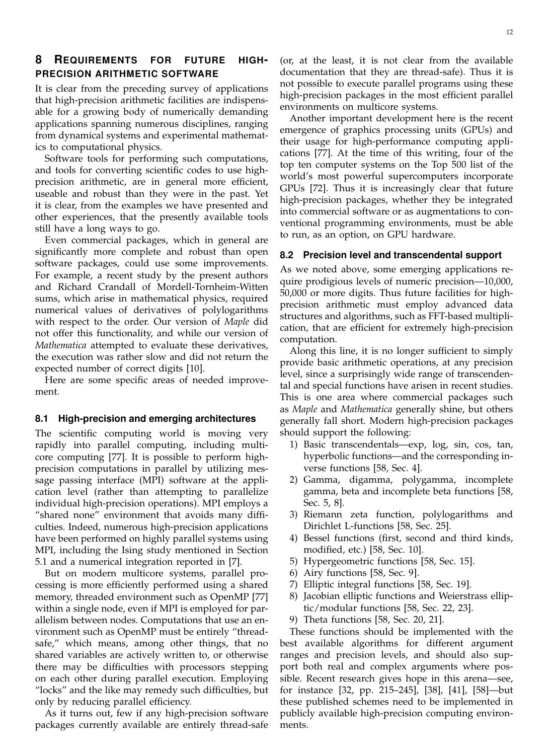# **8 REQUIREMENTS FOR FUTURE HIGH-PRECISION ARITHMETIC SOFTWARE**

It is clear from the preceding survey of applications that high-precision arithmetic facilities are indispensable for a growing body of numerically demanding applications spanning numerous disciplines, ranging from dynamical systems and experimental mathematics to computational physics.

Software tools for performing such computations, and tools for converting scientific codes to use highprecision arithmetic, are in general more efficient, useable and robust than they were in the past. Yet it is clear, from the examples we have presented and other experiences, that the presently available tools still have a long ways to go.

Even commercial packages, which in general are significantly more complete and robust than open software packages, could use some improvements. For example, a recent study by the present authors and Richard Crandall of Mordell-Tornheim-Witten sums, which arise in mathematical physics, required numerical values of derivatives of polylogarithms with respect to the order. Our version of *Maple* did not offer this functionality, and while our version of *Mathematica* attempted to evaluate these derivatives, the execution was rather slow and did not return the expected number of correct digits [10].

Here are some specific areas of needed improvement.

## **8.1 High-precision and emerging architectures**

The scientific computing world is moving very rapidly into parallel computing, including multicore computing [77]. It is possible to perform highprecision computations in parallel by utilizing message passing interface (MPI) software at the application level (rather than attempting to parallelize individual high-precision operations). MPI employs a "shared none" environment that avoids many difficulties. Indeed, numerous high-precision applications have been performed on highly parallel systems using MPI, including the Ising study mentioned in Section 5.1 and a numerical integration reported in [7].

But on modern multicore systems, parallel processing is more efficiently performed using a shared memory, threaded environment such as OpenMP [77] within a single node, even if MPI is employed for parallelism between nodes. Computations that use an environment such as OpenMP must be entirely "threadsafe," which means, among other things, that no shared variables are actively written to, or otherwise there may be difficulties with processors stepping on each other during parallel execution. Employing "locks" and the like may remedy such difficulties, but only by reducing parallel efficiency.

As it turns out, few if any high-precision software packages currently available are entirely thread-safe

(or, at the least, it is not clear from the available documentation that they are thread-safe). Thus it is not possible to execute parallel programs using these high-precision packages in the most efficient parallel environments on multicore systems.

Another important development here is the recent emergence of graphics processing units (GPUs) and their usage for high-performance computing applications [77]. At the time of this writing, four of the top ten computer systems on the Top 500 list of the world's most powerful supercomputers incorporate GPUs [72]. Thus it is increasingly clear that future high-precision packages, whether they be integrated into commercial software or as augmentations to conventional programming environments, must be able to run, as an option, on GPU hardware.

#### **8.2 Precision level and transcendental support**

As we noted above, some emerging applications require prodigious levels of numeric precision—10,000, 50,000 or more digits. Thus future facilities for highprecision arithmetic must employ advanced data structures and algorithms, such as FFT-based multiplication, that are efficient for extremely high-precision computation.

Along this line, it is no longer sufficient to simply provide basic arithmetic operations, at any precision level, since a surprisingly wide range of transcendental and special functions have arisen in recent studies. This is one area where commercial packages such as *Maple* and *Mathematica* generally shine, but others generally fall short. Modern high-precision packages should support the following:

- 1) Basic transcendentals—exp, log, sin, cos, tan, hyperbolic functions—and the corresponding inverse functions [58, Sec. 4].
- 2) Gamma, digamma, polygamma, incomplete gamma, beta and incomplete beta functions [58, Sec. 5, 8].
- 3) Riemann zeta function, polylogarithms and Dirichlet L-functions [58, Sec. 25].
- 4) Bessel functions (first, second and third kinds, modified, etc.) [58, Sec. 10].
- 5) Hypergeometric functions [58, Sec. 15].
- 6) Airy functions [58, Sec. 9].
- 7) Elliptic integral functions [58, Sec. 19].
- 8) Jacobian elliptic functions and Weierstrass elliptic/modular functions [58, Sec. 22, 23].
- 9) Theta functions [58, Sec. 20, 21].

These functions should be implemented with the best available algorithms for different argument ranges and precision levels, and should also support both real and complex arguments where possible. Recent research gives hope in this arena—see, for instance [32, pp. 215–245], [38], [41], [58]—but these published schemes need to be implemented in publicly available high-precision computing environments.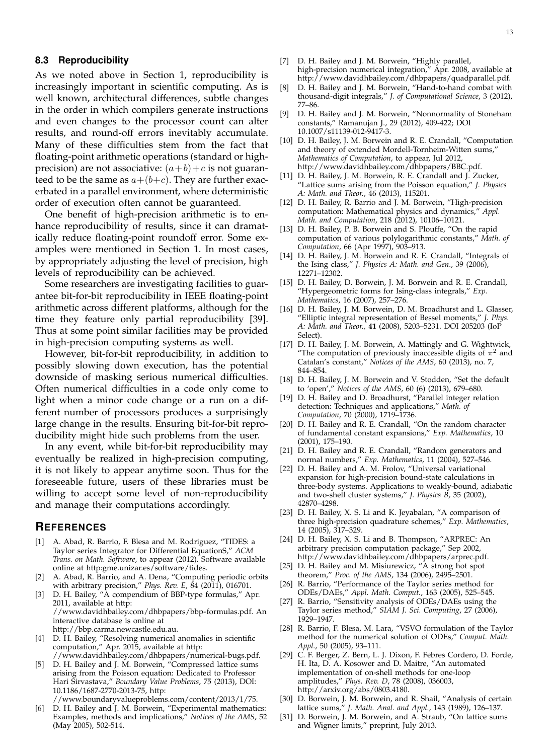## **8.3 Reproducibility**

As we noted above in Section 1, reproducibility is increasingly important in scientific computing. As is well known, architectural differences, subtle changes in the order in which compilers generate instructions and even changes to the processor count can alter results, and round-off errors inevitably accumulate. Many of these difficulties stem from the fact that floating-point arithmetic operations (standard or highprecision) are not associative:  $(a+b)+c$  is not guaranteed to be the same as  $a+(b+c)$ . They are further exacerbated in a parallel environment, where deterministic order of execution often cannot be guaranteed.

One benefit of high-precision arithmetic is to enhance reproducibility of results, since it can dramatically reduce floating-point roundoff error. Some examples were mentioned in Section 1. In most cases, by appropriately adjusting the level of precision, high levels of reproducibility can be achieved.

Some researchers are investigating facilities to guarantee bit-for-bit reproducibility in IEEE floating-point arithmetic across different platforms, although for the time they feature only partial reproducibility [39]. Thus at some point similar facilities may be provided in high-precision computing systems as well.

However, bit-for-bit reproducibility, in addition to possibly slowing down execution, has the potential downside of masking serious numerical difficulties. Often numerical difficulties in a code only come to light when a minor code change or a run on a different number of processors produces a surprisingly large change in the results. Ensuring bit-for-bit reproducibility might hide such problems from the user.

In any event, while bit-for-bit reproducibility may eventually be realized in high-precision computing, it is not likely to appear anytime soon. Thus for the foreseeable future, users of these libraries must be willing to accept some level of non-reproducibility and manage their computations accordingly.

## **REFERENCES**

- [1] A. Abad, R. Barrio, F. Blesa and M. Rodriguez, "TIDES: a Taylor series Integrator for Differential EquationS," *ACM Trans. on Math. Software*, to appear (2012). Software available online at http:gme.unizar.es/software/tides.
- [2] A. Abad, R. Barrio, and A. Dena, "Computing periodic orbits with arbitrary precision," *Phys. Rev. E*, 84 (2011), 016701.
- [3] D. H. Bailey, "A compendium of BBP-type formulas," Apr. 2011, available at http: //www.davidhbailey.com/dhbpapers/bbp-formulas.pdf. An interactive database is online at http://bbp.carma.newcastle.edu.au.
- [4] D. H. Bailey, "Resolving numerical anomalies in scientific computation," Apr. 2015, available at http: //www.davidhbailey.com/dhbpapers/numerical-bugs.pdf.
- [5] D. H. Bailey and J. M. Borwein, "Compressed lattice sums arising from the Poisson equation: Dedicated to Professor Hari Sirvastava," *Boundary Value Problems*, 75 (2013), DOI: 10.1186/1687-2770-2013-75, http:

//www.boundaryvalueproblems.com/content/2013/1/75.

[6] D. H. Bailey and J. M. Borwein, "Experimental mathematics: Examples, methods and implications," *Notices of the AMS*, 52 (May 2005), 502-514.

- [7] D. H. Bailey and J. M. Borwein, "Highly parallel, high-precision numerical integration," Apr. 2008, available at http://www.davidhbailey.com/dhbpapers/quadparallel.pdf.
- [8] D. H. Bailey and J. M. Borwein, "Hand-to-hand combat with thousand-digit integrals," *J. of Computational Science*, 3 (2012), 77–86.
- [9] D. H. Bailey and J. M. Borwein, "Nonnormality of Stoneham constants," Ramanujan J., 29 (2012), 409-422; DOI 10.1007/s11139-012-9417-3.
- [10] D. H. Bailey, J. M. Borwein and R. E. Crandall, "Computation and theory of extended Mordell-Tornheim-Witten sums," *Mathematics of Computation*, to appear, Jul 2012, http://www.davidhbailey.com/dhbpapers/BBC.pdf.
- [11] D. H. Bailey, J. M. Borwein, R. E. Crandall and J. Zucker, "Lattice sums arising from the Poisson equation," *J. Physics A: Math. and Theor.*, 46 (2013), 115201.
- [12] D. H. Bailey, R. Barrio and J. M. Borwein, "High-precision computation: Mathematical physics and dynamics," *Appl. Math. and Computation*, 218 (2012), 10106–10121.
- [13] D. H. Bailey, P. B. Borwein and S. Plouffe, "On the rapid computation of various polylogarithmic constants," *Math. of Computation*, 66 (Apr 1997), 903–913.
- [14] D. H. Bailey, J. M. Borwein and R. E. Crandall, "Integrals of the Ising class," *J. Physics A: Math. and Gen.*, 39 (2006), 12271–12302.
- [15] D. H. Bailey, D. Borwein, J. M. Borwein and R. E. Crandall, "Hypergeometric forms for Ising-class integrals," *Exp. Mathematics*, 16 (2007), 257–276.
- [16] D. H. Bailey, J. M. Borwein, D. M. Broadhurst and L. Glasser, "Elliptic integral representation of Bessel moments," *J. Phys. A: Math. and Theor.,* **41** (2008), 5203–5231. DOI 205203 (IoP Select).
- [17] D. H. Bailey, J. M. Borwein, A. Mattingly and G. Wightwick, "The computation of previously inaccessible digits of  $\pi^2$  and Catalan's constant," *Notices of the AMS*, 60 (2013), no. 7, 844–854.
- [18] D. H. Bailey, J. M. Borwein and V. Stodden, "Set the default to 'open'," *Notices of the AMS*, 60 (6) (2013), 679–680.
- [19] D. H. Bailey and D. Broadhurst, "Parallel integer relation detection: Techniques and applications," *Math. of Computation*, 70 (2000), 1719–1736.
- [20] D. H. Bailey and R. E. Crandall, "On the random character of fundamental constant expansions," *Exp. Mathematics*, 10 (2001), 175–190.
- [21] D. H. Bailey and R. E. Crandall, "Random generators and normal numbers," *Exp. Mathematics*, 11 (2004), 527–546.
- [22] D. H. Bailey and A. M. Frolov, "Universal variational expansion for high-precision bound-state calculations in three-body systems. Applications to weakly-bound, adiabatic and two-shell cluster systems," *J. Physics B*, 35 (2002), 42870–4298.
- [23] D. H. Bailey, X. S. Li and K. Jeyabalan, "A comparison of three high-precision quadrature schemes," *Exp. Mathematics*, 14 (2005), 317–329.
- [24] D. H. Bailey, X. S. Li and B. Thompson, "ARPREC: An arbitrary precision computation package," Sep 2002, http://www.davidhbailey.com/dhbpapers/arprec.pdf.
- [25] D. H. Bailey and M. Misiurewicz, "A strong hot spot theorem," *Proc. of the AMS*, 134 (2006), 2495–2501.
- [26] R. Barrio, "Performance of the Taylor series method for ODEs/DAEs," *Appl. Math. Comput.*, 163 (2005), 525–545.
- [27] R. Barrio, "Sensitivity analysis of ODEs/DAEs using the Taylor series method," *SIAM J. Sci. Computing*, 27 (2006), 1929–1947.
- [28] R. Barrio, F. Blesa, M. Lara, "VSVO formulation of the Taylor method for the numerical solution of ODEs," *Comput. Math. Appl.*, 50 (2005), 93–111.
- [29] C. F. Berger, Z. Bern, L. J. Dixon, F. Febres Cordero, D. Forde, H. Ita, D. A. Kosower and D. Maitre, "An automated implementation of on-shell methods for one-loop amplitudes," *Phys. Rev. D*, 78 (2008), 036003, http://arxiv.org/abs/0803.4180.
- [30] D. Borwein, J. M. Borwein, and R. Shail, "Analysis of certain lattice sums," *J. Math. Anal. and Appl.*, 143 (1989), 126–137.
- [31] D. Borwein, J. M. Borwein, and A. Straub, "On lattice sums and Wigner limits," preprint, July 2013.